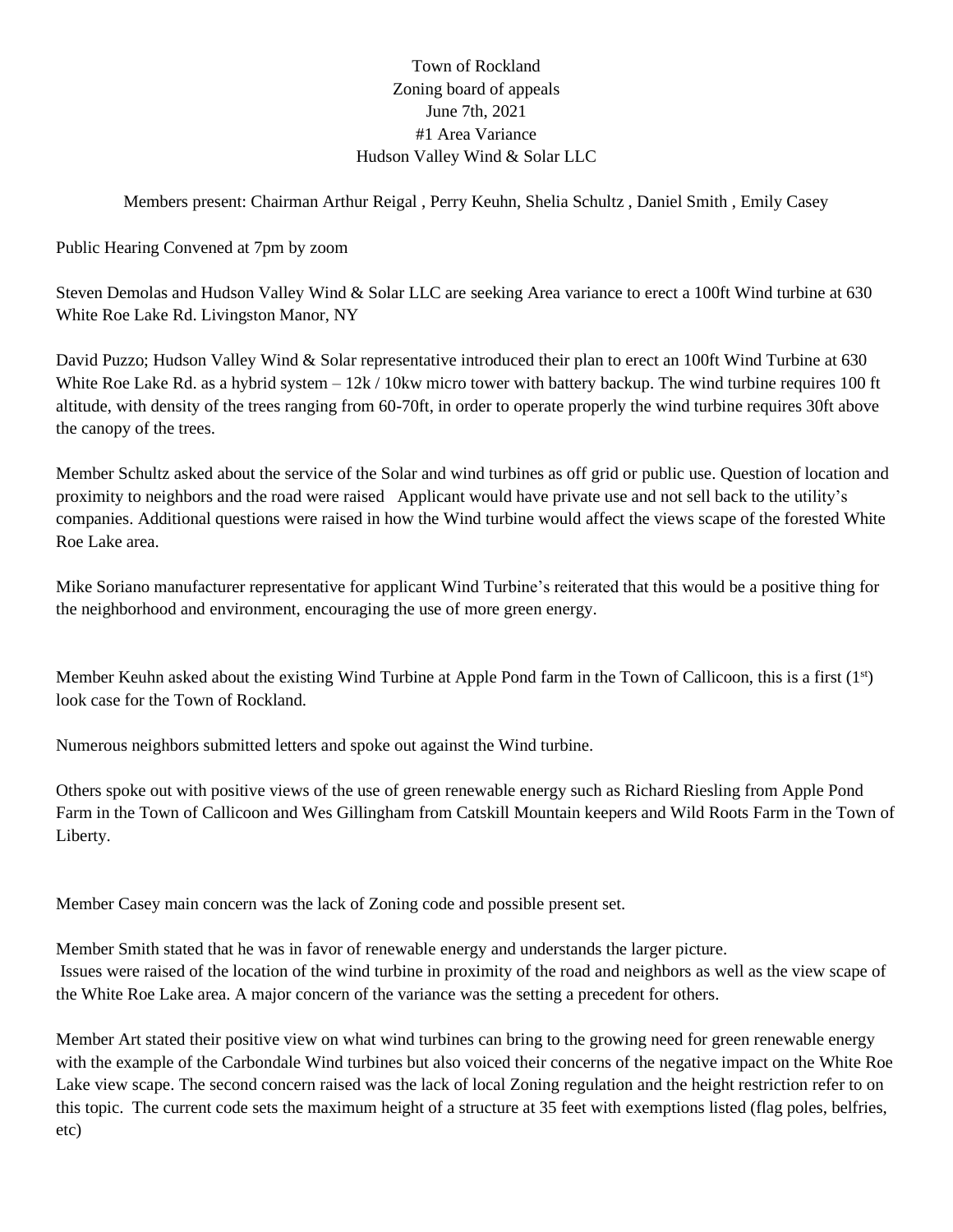## Town of Rockland Zoning board of appeals June 7th, 2021 #1 Area Variance Hudson Valley Wind & Solar LLC

### Members present: Chairman Arthur Reigal , Perry Keuhn, Shelia Schultz , Daniel Smith , Emily Casey

Public Hearing Convened at 7pm by zoom

Steven Demolas and Hudson Valley Wind & Solar LLC are seeking Area variance to erect a 100ft Wind turbine at 630 White Roe Lake Rd. Livingston Manor, NY

David Puzzo; Hudson Valley Wind & Solar representative introduced their plan to erect an 100ft Wind Turbine at 630 White Roe Lake Rd. as a hybrid system  $-12k/10$ kw micro tower with battery backup. The wind turbine requires 100 ft altitude, with density of the trees ranging from 60-70ft, in order to operate properly the wind turbine requires 30ft above the canopy of the trees.

Member Schultz asked about the service of the Solar and wind turbines as off grid or public use. Question of location and proximity to neighbors and the road were raised Applicant would have private use and not sell back to the utility's companies. Additional questions were raised in how the Wind turbine would affect the views scape of the forested White Roe Lake area.

Mike Soriano manufacturer representative for applicant Wind Turbine's reiterated that this would be a positive thing for the neighborhood and environment, encouraging the use of more green energy.

Member Keuhn asked about the existing Wind Turbine at Apple Pond farm in the Town of Callicoon, this is a first (1<sup>st</sup>) look case for the Town of Rockland.

Numerous neighbors submitted letters and spoke out against the Wind turbine.

Others spoke out with positive views of the use of green renewable energy such as Richard Riesling from Apple Pond Farm in the Town of Callicoon and Wes Gillingham from Catskill Mountain keepers and Wild Roots Farm in the Town of Liberty.

Member Casey main concern was the lack of Zoning code and possible present set.

Member Smith stated that he was in favor of renewable energy and understands the larger picture. Issues were raised of the location of the wind turbine in proximity of the road and neighbors as well as the view scape of the White Roe Lake area. A major concern of the variance was the setting a precedent for others.

Member Art stated their positive view on what wind turbines can bring to the growing need for green renewable energy with the example of the Carbondale Wind turbines but also voiced their concerns of the negative impact on the White Roe Lake view scape. The second concern raised was the lack of local Zoning regulation and the height restriction refer to on this topic. The current code sets the maximum height of a structure at 35 feet with exemptions listed (flag poles, belfries, etc)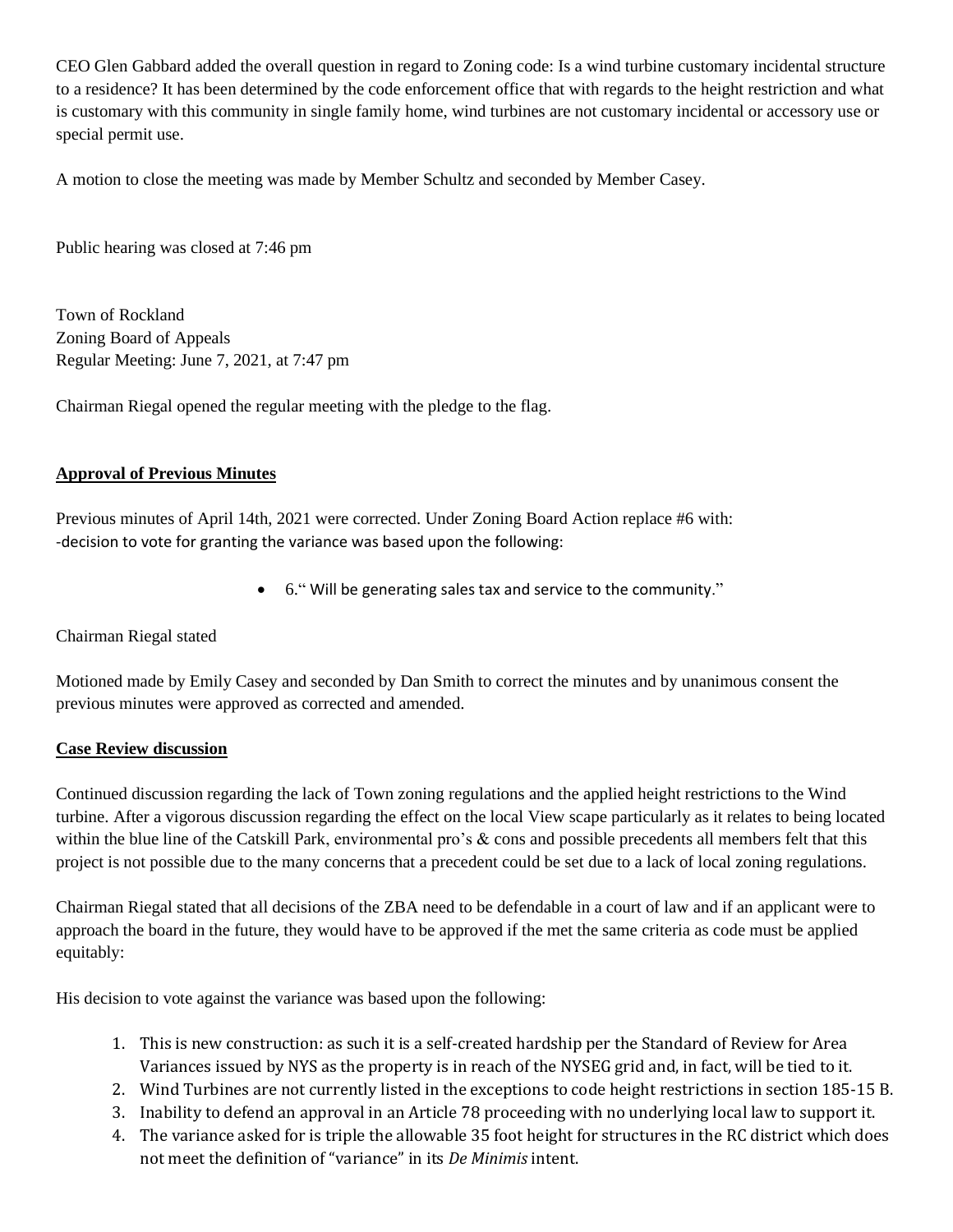CEO Glen Gabbard added the overall question in regard to Zoning code: Is a wind turbine customary incidental structure to a residence? It has been determined by the code enforcement office that with regards to the height restriction and what is customary with this community in single family home, wind turbines are not customary incidental or accessory use or special permit use.

A motion to close the meeting was made by Member Schultz and seconded by Member Casey.

Public hearing was closed at 7:46 pm

Town of Rockland Zoning Board of Appeals Regular Meeting: June 7, 2021, at 7:47 pm

Chairman Riegal opened the regular meeting with the pledge to the flag.

#### **Approval of Previous Minutes**

Previous minutes of April 14th, 2021 were corrected. Under Zoning Board Action replace #6 with: -decision to vote for granting the variance was based upon the following:

• 6." Will be generating sales tax and service to the community."

Chairman Riegal stated

Motioned made by Emily Casey and seconded by Dan Smith to correct the minutes and by unanimous consent the previous minutes were approved as corrected and amended.

#### **Case Review discussion**

Continued discussion regarding the lack of Town zoning regulations and the applied height restrictions to the Wind turbine. After a vigorous discussion regarding the effect on the local View scape particularly as it relates to being located within the blue line of the Catskill Park, environmental pro's & cons and possible precedents all members felt that this project is not possible due to the many concerns that a precedent could be set due to a lack of local zoning regulations.

Chairman Riegal stated that all decisions of the ZBA need to be defendable in a court of law and if an applicant were to approach the board in the future, they would have to be approved if the met the same criteria as code must be applied equitably:

His decision to vote against the variance was based upon the following:

- 1. This is new construction: as such it is a self-created hardship per the Standard of Review for Area Variances issued by NYS as the property is in reach of the NYSEG grid and, in fact, will be tied to it.
- 2. Wind Turbines are not currently listed in the exceptions to code height restrictions in section 185-15 B.
- 3. Inability to defend an approval in an Article 78 proceeding with no underlying local law to support it.
- 4. The variance asked for is triple the allowable 35 foot height for structures in the RC district which does not meet the definition of "variance" in its *De Minimis* intent.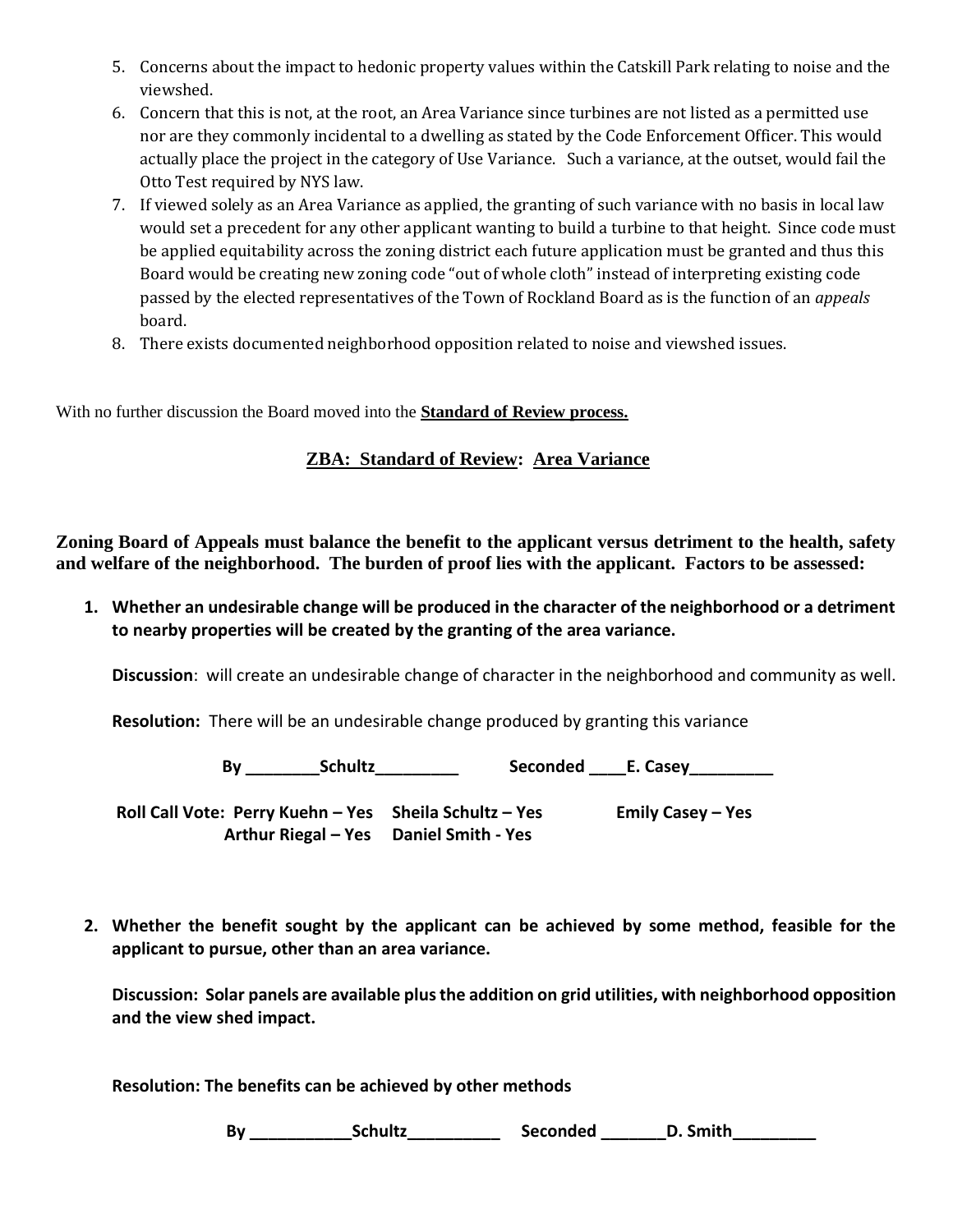- 5. Concerns about the impact to hedonic property values within the Catskill Park relating to noise and the viewshed.
- 6. Concern that this is not, at the root, an Area Variance since turbines are not listed as a permitted use nor are they commonly incidental to a dwelling as stated by the Code Enforcement Officer. This would actually place the project in the category of Use Variance. Such a variance, at the outset, would fail the Otto Test required by NYS law.
- 7. If viewed solely as an Area Variance as applied, the granting of such variance with no basis in local law would set a precedent for any other applicant wanting to build a turbine to that height. Since code must be applied equitability across the zoning district each future application must be granted and thus this Board would be creating new zoning code "out of whole cloth" instead of interpreting existing code passed by the elected representatives of the Town of Rockland Board as is the function of an *appeals* board.
- 8. There exists documented neighborhood opposition related to noise and viewshed issues.

With no further discussion the Board moved into the **Standard of Review process.**

# **ZBA: Standard of Review: Area Variance**

**Zoning Board of Appeals must balance the benefit to the applicant versus detriment to the health, safety and welfare of the neighborhood. The burden of proof lies with the applicant. Factors to be assessed:**

**1. Whether an undesirable change will be produced in the character of the neighborhood or a detriment to nearby properties will be created by the granting of the area variance.**

**Discussion**: will create an undesirable change of character in the neighborhood and community as well.

**Resolution:** There will be an undesirable change produced by granting this variance

 **By \_\_\_\_\_\_\_\_Schultz\_\_\_\_\_\_\_\_\_ Seconded \_\_\_\_E. Casey\_\_\_\_\_\_\_\_\_**

**Roll Call Vote: Perry Kuehn – Yes Sheila Schultz – Yes Emily Casey – Yes Arthur Riegal – Yes Daniel Smith - Yes**

**2. Whether the benefit sought by the applicant can be achieved by some method, feasible for the applicant to pursue, other than an area variance.**

**Discussion: Solar panels are available plus the addition on grid utilities, with neighborhood opposition and the view shed impact.**

**Resolution: The benefits can be achieved by other methods** 

By \_\_\_\_\_\_\_\_\_\_\_\_\_\_\_Schultz\_\_\_\_\_\_\_\_\_\_\_\_\_\_\_\_\_\_\_\_\_\_\_Seconded \_\_\_\_\_\_\_\_\_D. Smith\_\_\_\_\_\_\_\_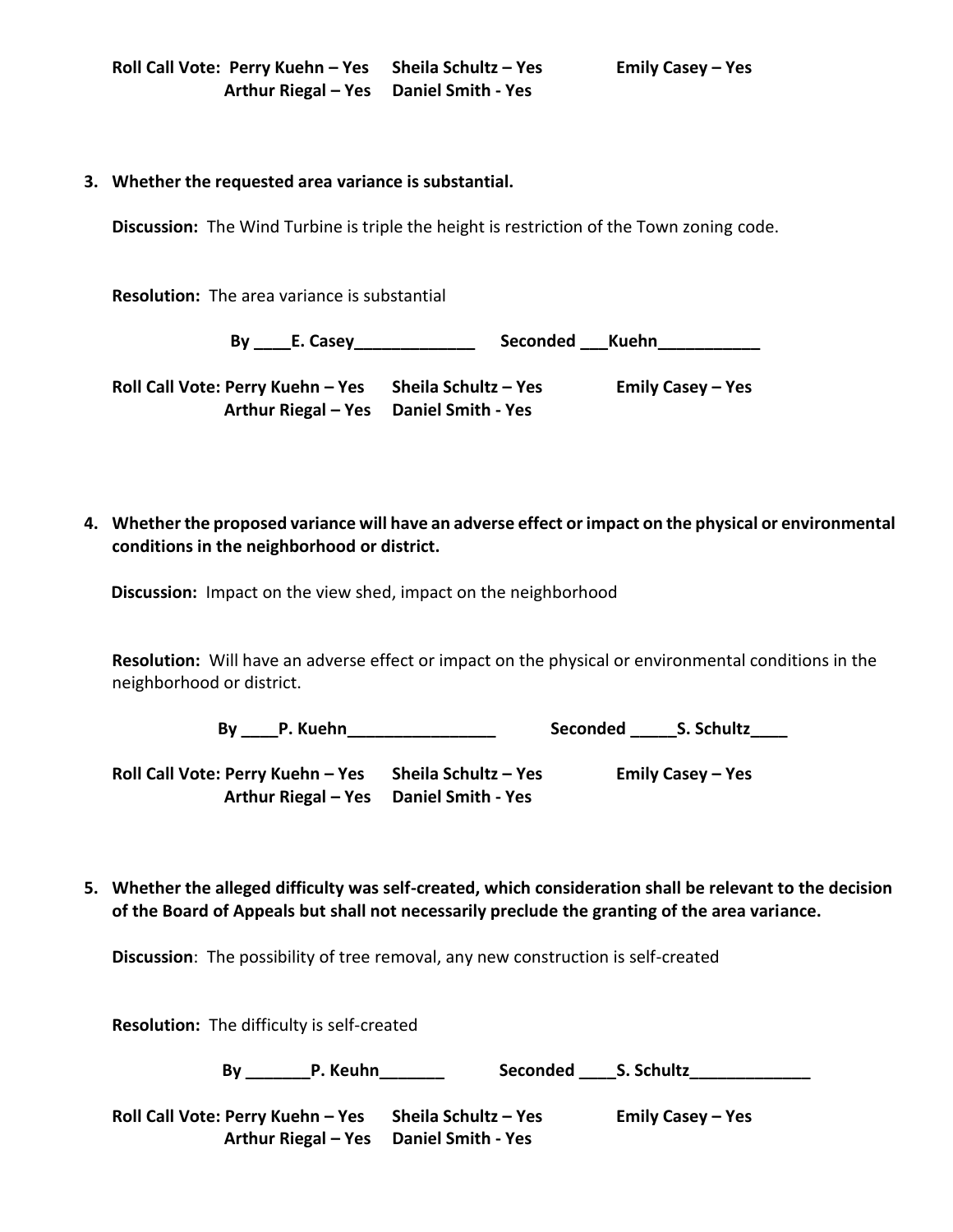#### **3. Whether the requested area variance is substantial.**

**Discussion:** The Wind Turbine is triple the height is restriction of the Town zoning code.

**Resolution:** The area variance is substantial

 **By \_\_\_\_E. Casey\_\_\_\_\_\_\_\_\_\_\_\_\_ Seconded \_\_\_Kuehn\_\_\_\_\_\_\_\_\_\_\_ Roll Call Vote: Perry Kuehn – Yes Sheila Schultz – Yes Emily Casey – Yes Arthur Riegal – Yes Daniel Smith - Yes**

**4. Whether the proposed variance will have an adverse effect or impact on the physical or environmental conditions in the neighborhood or district.**

 **Discussion:** Impact on the view shed, impact on the neighborhood

**Resolution:** Will have an adverse effect or impact on the physical or environmental conditions in the neighborhood or district.

 **By \_\_\_\_P. Kuehn\_\_\_\_\_\_\_\_\_\_\_\_\_\_\_\_ Seconded \_\_\_\_\_S. Schultz\_\_\_\_**

**Roll Call Vote: Perry Kuehn – Yes Sheila Schultz – Yes Emily Casey – Yes Arthur Riegal – Yes Daniel Smith - Yes**

**5. Whether the alleged difficulty was self-created, which consideration shall be relevant to the decision of the Board of Appeals but shall not necessarily preclude the granting of the area variance.**

**Discussion**: The possibility of tree removal, any new construction is self-created

**Resolution:** The difficulty is self-created By \_\_\_\_\_\_\_\_P. Keuhn\_\_\_\_\_\_\_\_\_\_\_\_\_\_\_\_\_Seconded \_\_\_\_\_S. Schultz\_\_\_\_\_\_\_\_\_\_\_\_\_\_\_\_\_\_\_\_ **Roll Call Vote: Perry Kuehn – Yes Sheila Schultz – Yes Emily Casey – Yes Arthur Riegal – Yes Daniel Smith - Yes**